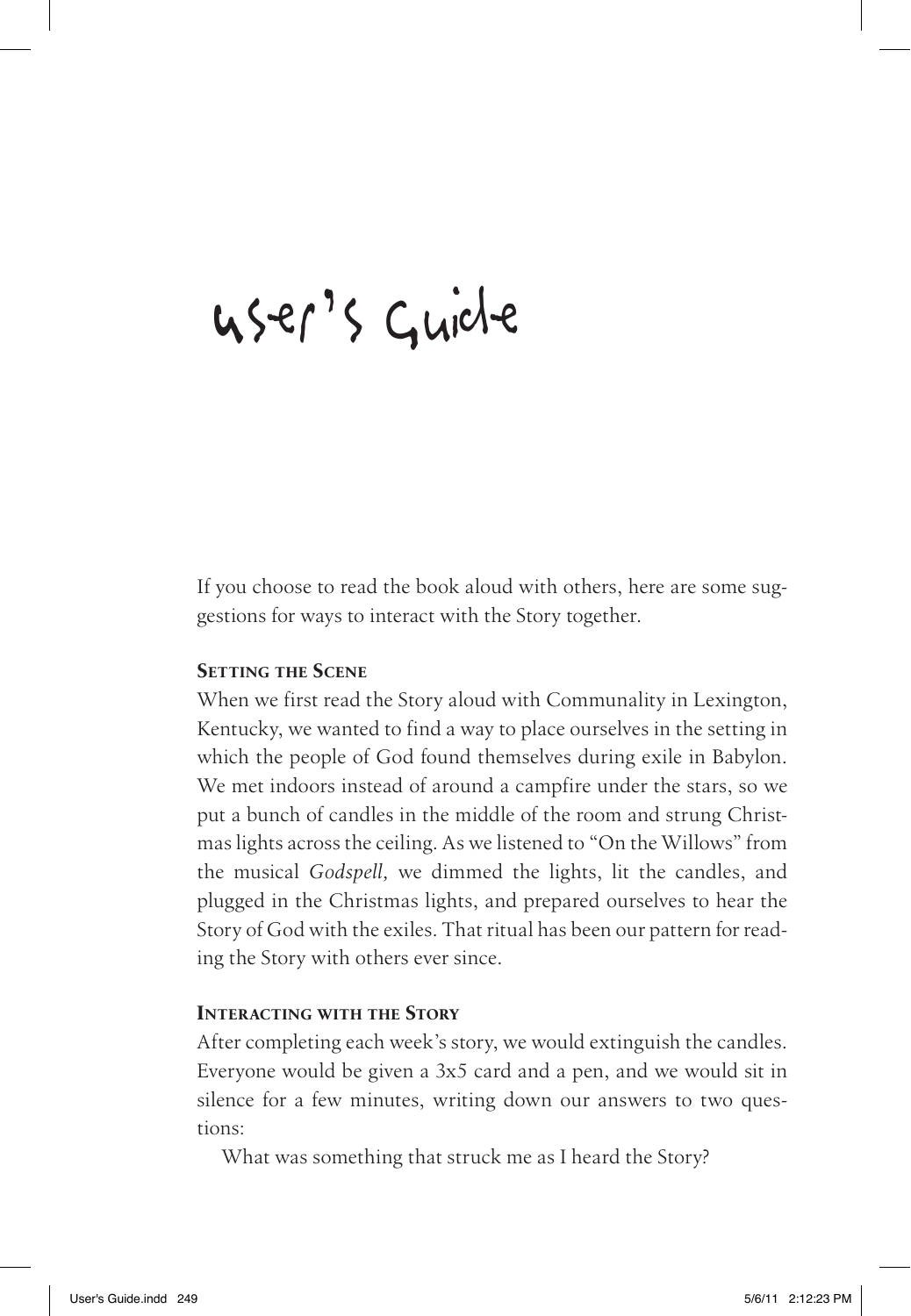# User's Guide

If you choose to read the book aloud with others, here are some suggestions for ways to interact with the Story together.

#### **Setting the Scene**

When we first read the Story aloud with Communality in Lexington, Kentucky, we wanted to find a way to place ourselves in the setting in which the people of God found themselves during exile in Babylon. We met indoors instead of around a campfire under the stars, so we put a bunch of candles in the middle of the room and strung Christmas lights across the ceiling. As we listened to "On the Willows" from the musical *Godspell,* we dimmed the lights, lit the candles, and plugged in the Christmas lights, and prepared ourselves to hear the Story of God with the exiles. That ritual has been our pattern for reading the Story with others ever since.

### **Interacting with the Story**

After completing each week's story, we would extinguish the candles. Everyone would be given a 3x5 card and a pen, and we would sit in silence for a few minutes, writing down our answers to two questions:

What was something that struck me as I heard the Story?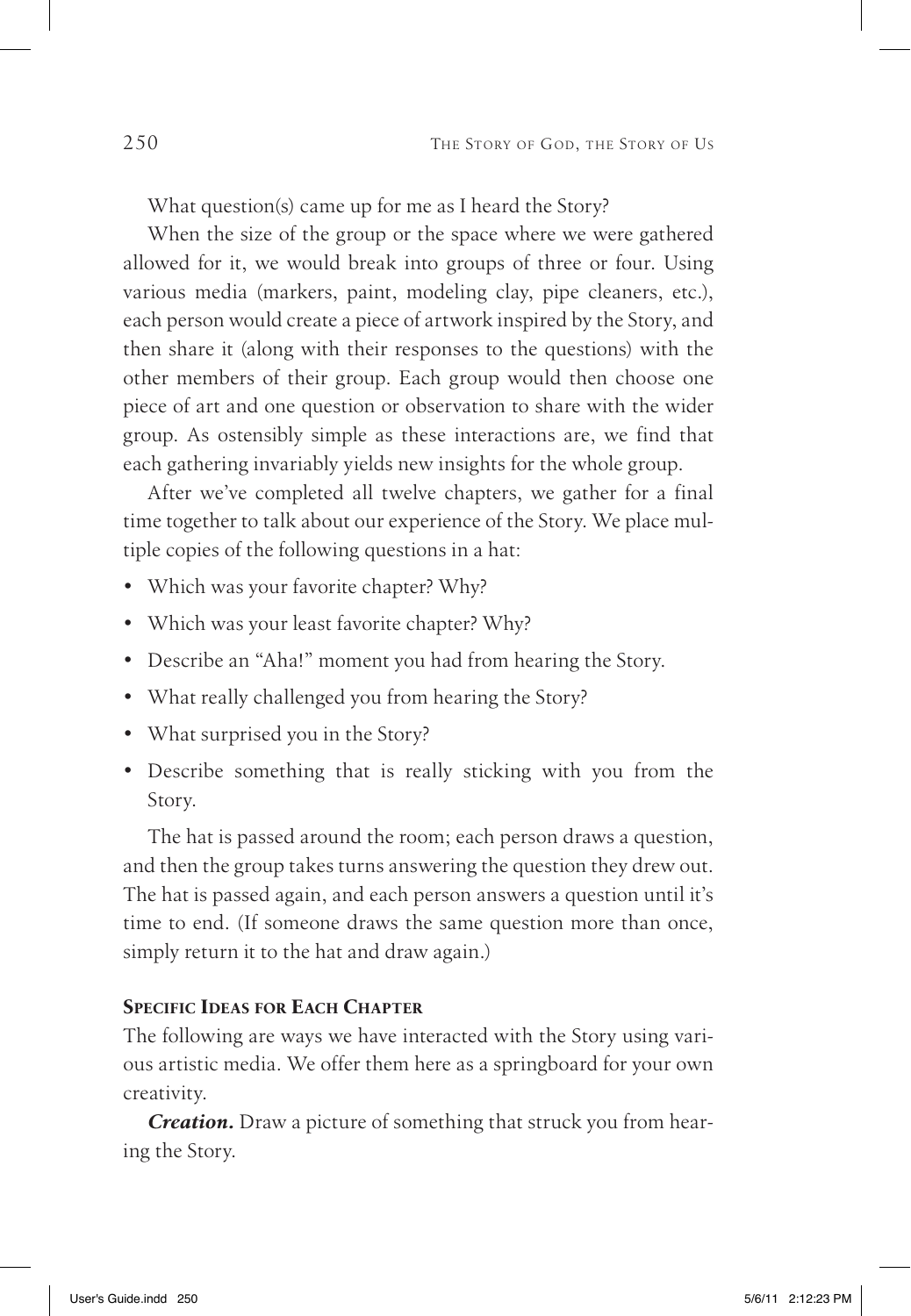What question(s) came up for me as I heard the Story?

When the size of the group or the space where we were gathered allowed for it, we would break into groups of three or four. Using various media (markers, paint, modeling clay, pipe cleaners, etc.), each person would create a piece of artwork inspired by the Story, and then share it (along with their responses to the questions) with the other members of their group. Each group would then choose one piece of art and one question or observation to share with the wider group. As ostensibly simple as these interactions are, we find that each gathering invariably yields new insights for the whole group.

After we've completed all twelve chapters, we gather for a final time together to talk about our experience of the Story. We place multiple copies of the following questions in a hat:

- Which was your favorite chapter? Why?
- Which was your least favorite chapter? Why?
- • Describe an "Aha!" moment you had from hearing the Story.
- What really challenged you from hearing the Story?
- What surprised you in the Story?
- • Describe something that is really sticking with you from the Story.

The hat is passed around the room; each person draws a question, and then the group takes turns answering the question they drew out. The hat is passed again, and each person answers a question until it's time to end. (If someone draws the same question more than once, simply return it to the hat and draw again.)

#### **Specific Ideas for Each Chapter**

The following are ways we have interacted with the Story using various artistic media. We offer them here as a springboard for your own creativity.

*Creation.* Draw a picture of something that struck you from hearing the Story.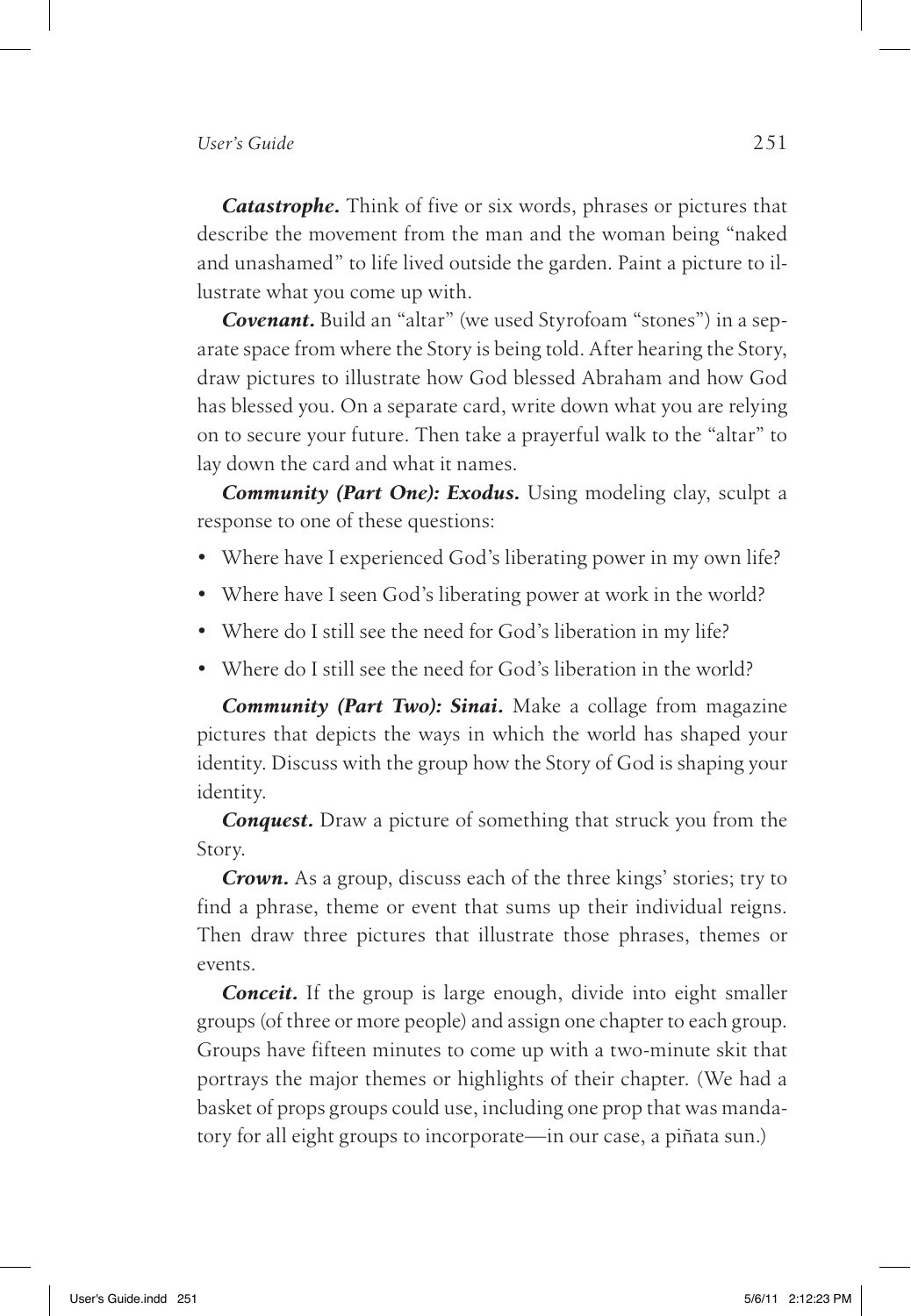*Catastrophe.* Think of five or six words, phrases or pictures that describe the movement from the man and the woman being "naked and unashamed" to life lived outside the garden. Paint a picture to illustrate what you come up with.

*Covenant.* Build an "altar" (we used Styrofoam "stones") in a separate space from where the Story is being told. After hearing the Story, draw pictures to illustrate how God blessed Abraham and how God has blessed you. On a separate card, write down what you are relying on to secure your future. Then take a prayerful walk to the "altar" to lay down the card and what it names.

*Community (Part One): Exodus.* Using modeling clay, sculpt a response to one of these questions:

- Where have I experienced God's liberating power in my own life?
- Where have I seen God's liberating power at work in the world?
- Where do I still see the need for God's liberation in my life?
- Where do I still see the need for God's liberation in the world?

*Community (Part Two): Sinai.* Make a collage from magazine pictures that depicts the ways in which the world has shaped your identity. Discuss with the group how the Story of God is shaping your identity.

*Conquest.* Draw a picture of something that struck you from the Story.

*Crown.* As a group, discuss each of the three kings' stories; try to find a phrase, theme or event that sums up their individual reigns. Then draw three pictures that illustrate those phrases, themes or events.

*Conceit.* If the group is large enough, divide into eight smaller groups (of three or more people) and assign one chapter to each group. Groups have fifteen minutes to come up with a two-minute skit that portrays the major themes or highlights of their chapter. (We had a basket of props groups could use, including one prop that was mandatory for all eight groups to incorporate—in our case, a piñata sun.)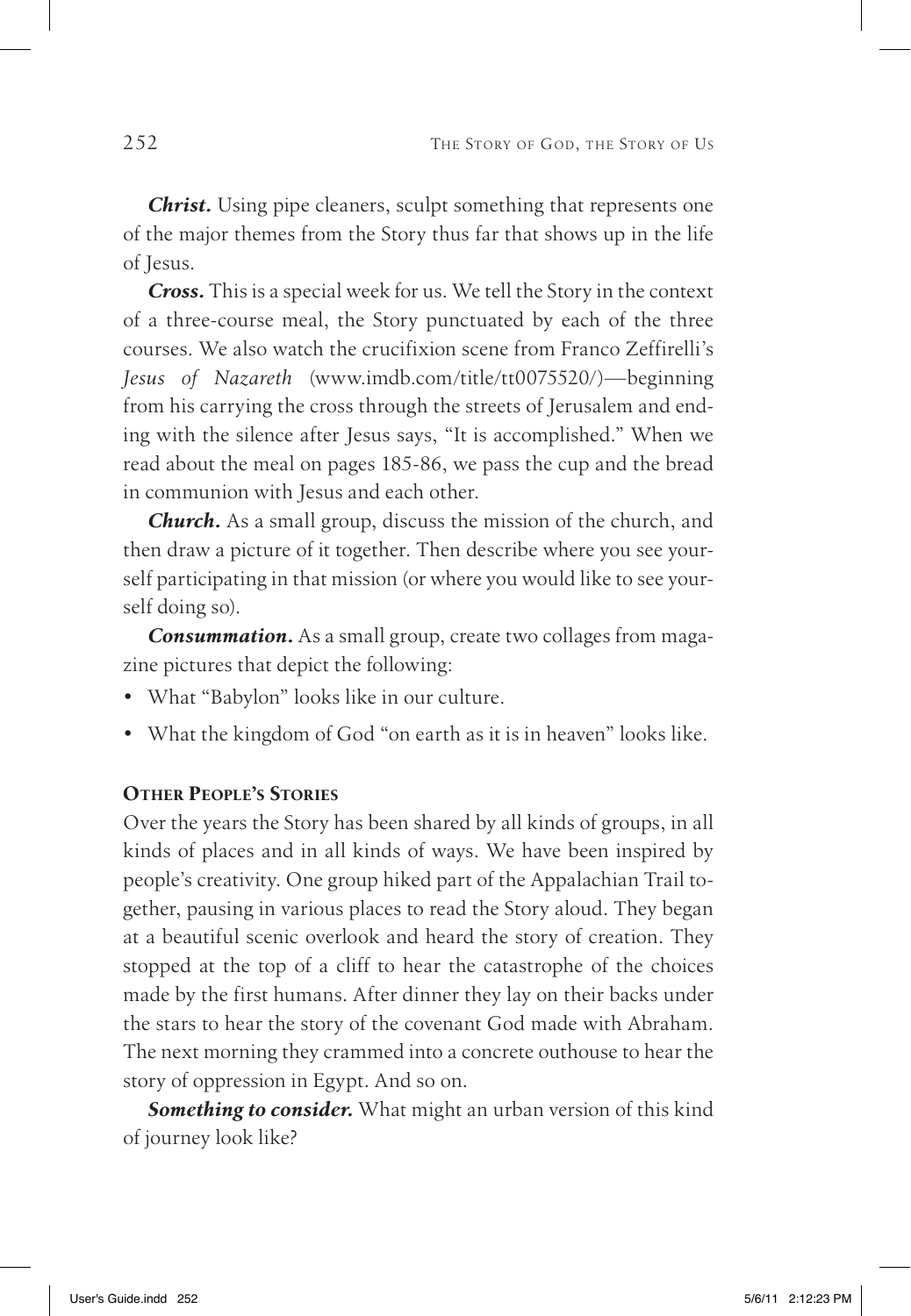*Christ.* Using pipe cleaners, sculpt something that represents one of the major themes from the Story thus far that shows up in the life of Jesus.

*Cross.* This is a special week for us. We tell the Story in the context of a three-course meal, the Story punctuated by each of the three courses. We also watch the crucifixion scene from Franco Zeffirelli's *Jesus of Nazareth* (www.imdb.com/title/tt0075520/)—beginning from his carrying the cross through the streets of Jerusalem and ending with the silence after Jesus says, "It is accomplished." When we read about the meal on pages 185-86, we pass the cup and the bread in communion with Jesus and each other.

*Church.* As a small group, discuss the mission of the church, and then draw a picture of it together. Then describe where you see yourself participating in that mission (or where you would like to see yourself doing so).

*Consummation.* As a small group, create two collages from magazine pictures that depict the following:

- • What "Babylon" looks like in our culture.
- What the kingdom of God "on earth as it is in heaven" looks like.

#### **Other People's Stories**

Over the years the Story has been shared by all kinds of groups, in all kinds of places and in all kinds of ways. We have been inspired by people's creativity. One group hiked part of the Appalachian Trail together, pausing in various places to read the Story aloud. They began at a beautiful scenic overlook and heard the story of creation. They stopped at the top of a cliff to hear the catastrophe of the choices made by the first humans. After dinner they lay on their backs under the stars to hear the story of the covenant God made with Abraham. The next morning they crammed into a concrete outhouse to hear the story of oppression in Egypt. And so on.

*Something to consider.* What might an urban version of this kind of journey look like?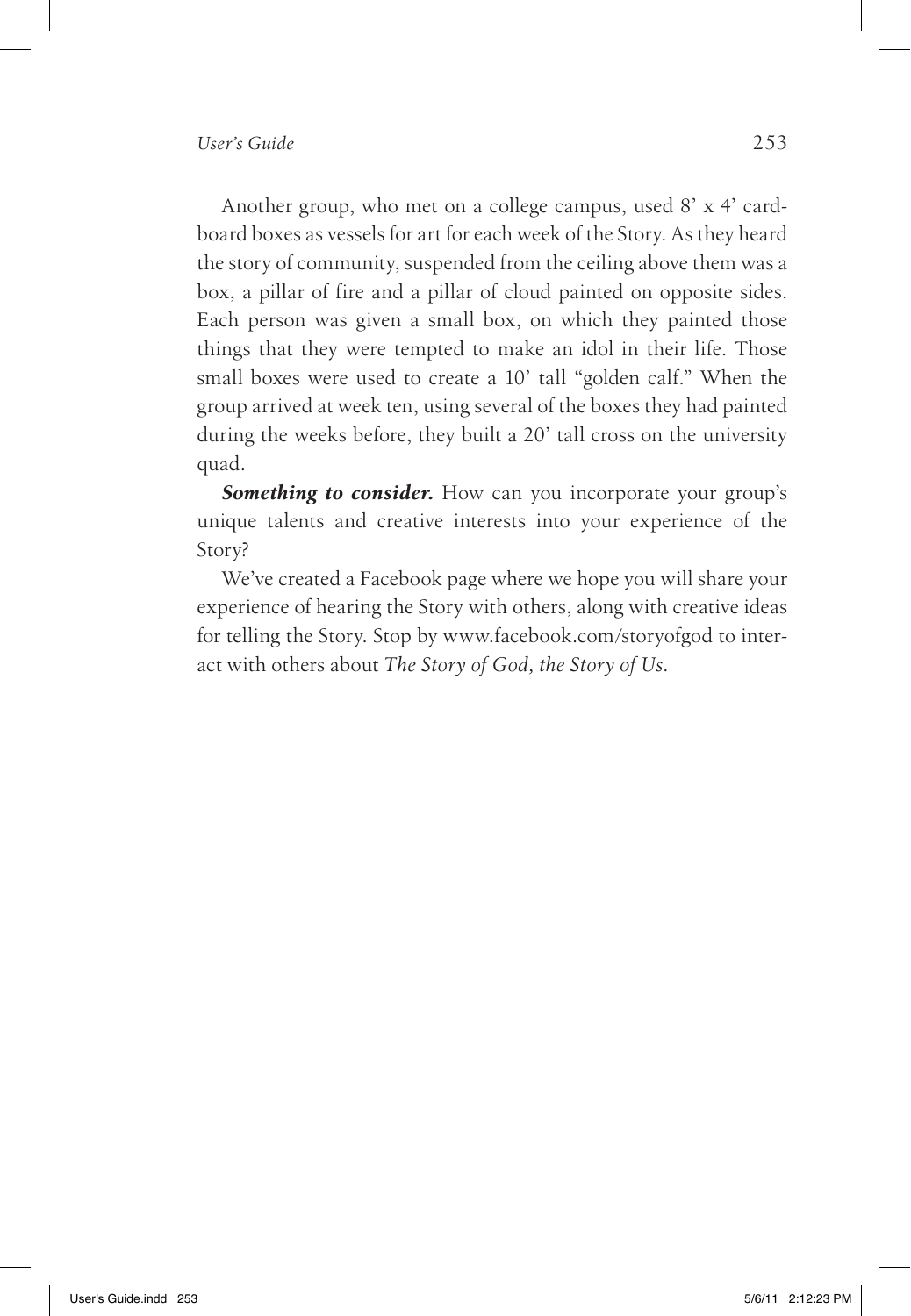Another group, who met on a college campus, used 8' x 4' cardboard boxes as vessels for art for each week of the Story. As they heard the story of community, suspended from the ceiling above them was a box, a pillar of fire and a pillar of cloud painted on opposite sides. Each person was given a small box, on which they painted those things that they were tempted to make an idol in their life. Those small boxes were used to create a 10' tall "golden calf." When the group arrived at week ten, using several of the boxes they had painted during the weeks before, they built a 20' tall cross on the university quad.

**Something to consider.** How can you incorporate your group's unique talents and creative interests into your experience of the Story?

We've created a Facebook page where we hope you will share your experience of hearing the Story with others, along with creative ideas for telling the Story. Stop by www.facebook.com/storyofgod to interact with others about *The Story of God, the Story of Us*.